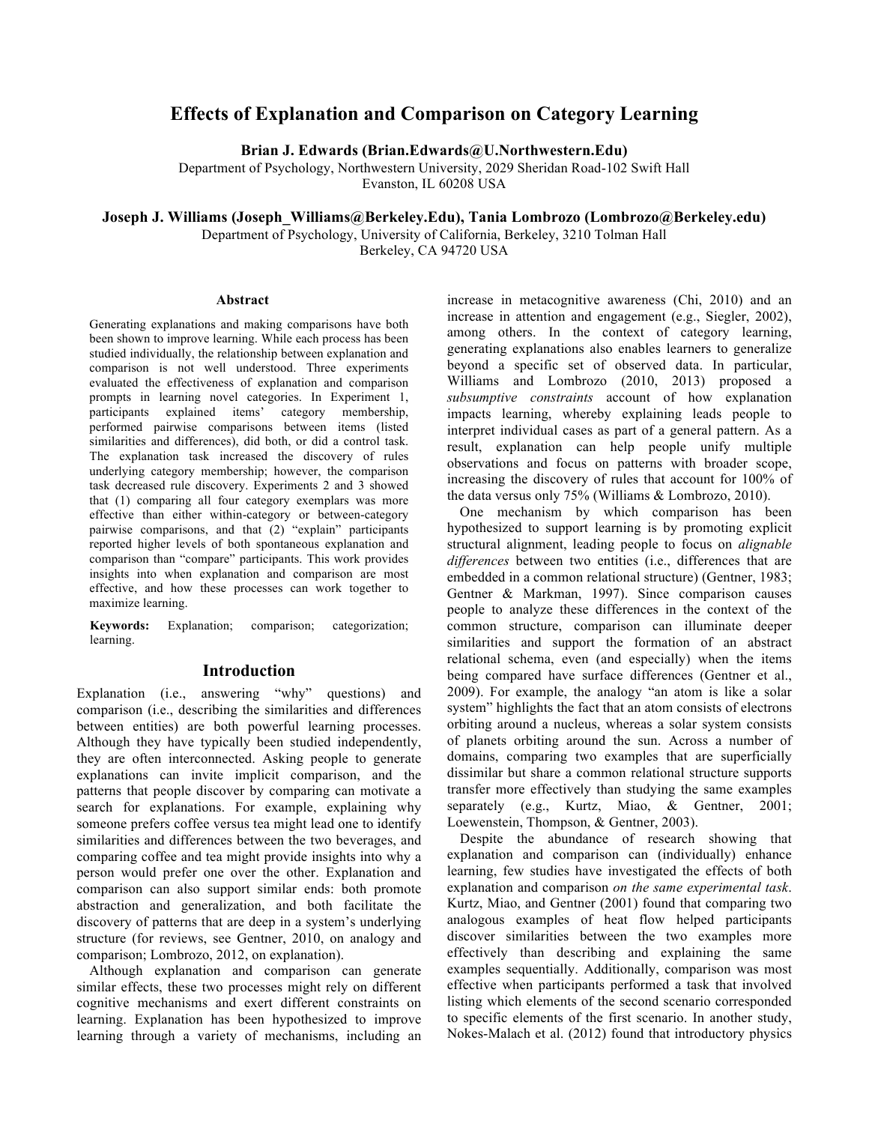# **Effects of Explanation and Comparison on Category Learning**

**Brian J. Edwards (Brian.Edwards@U.Northwestern.Edu)**

Department of Psychology, Northwestern University, 2029 Sheridan Road-102 Swift Hall Evanston, IL 60208 USA

**Joseph J. Williams (Joseph\_Williams@Berkeley.Edu), Tania Lombrozo (Lombrozo@Berkeley.edu)**

Department of Psychology, University of California, Berkeley, 3210 Tolman Hall

Berkeley, CA 94720 USA

#### **Abstract**

Generating explanations and making comparisons have both been shown to improve learning. While each process has been studied individually, the relationship between explanation and comparison is not well understood. Three experiments evaluated the effectiveness of explanation and comparison prompts in learning novel categories. In Experiment 1, participants explained items' category membership, performed pairwise comparisons between items (listed similarities and differences), did both, or did a control task. The explanation task increased the discovery of rules underlying category membership; however, the comparison task decreased rule discovery. Experiments 2 and 3 showed that (1) comparing all four category exemplars was more effective than either within-category or between-category pairwise comparisons, and that (2) "explain" participants reported higher levels of both spontaneous explanation and comparison than "compare" participants. This work provides insights into when explanation and comparison are most effective, and how these processes can work together to maximize learning.

**Keywords:** Explanation; comparison; categorization; learning.

## **Introduction**

Explanation (i.e., answering "why" questions) and comparison (i.e., describing the similarities and differences between entities) are both powerful learning processes. Although they have typically been studied independently, they are often interconnected. Asking people to generate explanations can invite implicit comparison, and the patterns that people discover by comparing can motivate a search for explanations. For example, explaining why someone prefers coffee versus tea might lead one to identify similarities and differences between the two beverages, and comparing coffee and tea might provide insights into why a person would prefer one over the other. Explanation and comparison can also support similar ends: both promote abstraction and generalization, and both facilitate the discovery of patterns that are deep in a system's underlying structure (for reviews, see Gentner, 2010, on analogy and comparison; Lombrozo, 2012, on explanation).

Although explanation and comparison can generate similar effects, these two processes might rely on different cognitive mechanisms and exert different constraints on learning. Explanation has been hypothesized to improve learning through a variety of mechanisms, including an increase in metacognitive awareness (Chi, 2010) and an increase in attention and engagement (e.g., Siegler, 2002), among others. In the context of category learning, generating explanations also enables learners to generalize beyond a specific set of observed data. In particular, Williams and Lombrozo (2010, 2013) proposed a *subsumptive constraints* account of how explanation impacts learning, whereby explaining leads people to interpret individual cases as part of a general pattern. As a result, explanation can help people unify multiple observations and focus on patterns with broader scope, increasing the discovery of rules that account for 100% of the data versus only 75% (Williams & Lombrozo, 2010).

One mechanism by which comparison has been hypothesized to support learning is by promoting explicit structural alignment, leading people to focus on *alignable differences* between two entities (i.e., differences that are embedded in a common relational structure) (Gentner, 1983; Gentner & Markman, 1997). Since comparison causes people to analyze these differences in the context of the common structure, comparison can illuminate deeper similarities and support the formation of an abstract relational schema, even (and especially) when the items being compared have surface differences (Gentner et al., 2009). For example, the analogy "an atom is like a solar system" highlights the fact that an atom consists of electrons orbiting around a nucleus, whereas a solar system consists of planets orbiting around the sun. Across a number of domains, comparing two examples that are superficially dissimilar but share a common relational structure supports transfer more effectively than studying the same examples separately (e.g., Kurtz, Miao, & Gentner, 2001; Loewenstein, Thompson, & Gentner, 2003).

Despite the abundance of research showing that explanation and comparison can (individually) enhance learning, few studies have investigated the effects of both explanation and comparison *on the same experimental task*. Kurtz, Miao, and Gentner (2001) found that comparing two analogous examples of heat flow helped participants discover similarities between the two examples more effectively than describing and explaining the same examples sequentially. Additionally, comparison was most effective when participants performed a task that involved listing which elements of the second scenario corresponded to specific elements of the first scenario. In another study, Nokes-Malach et al. (2012) found that introductory physics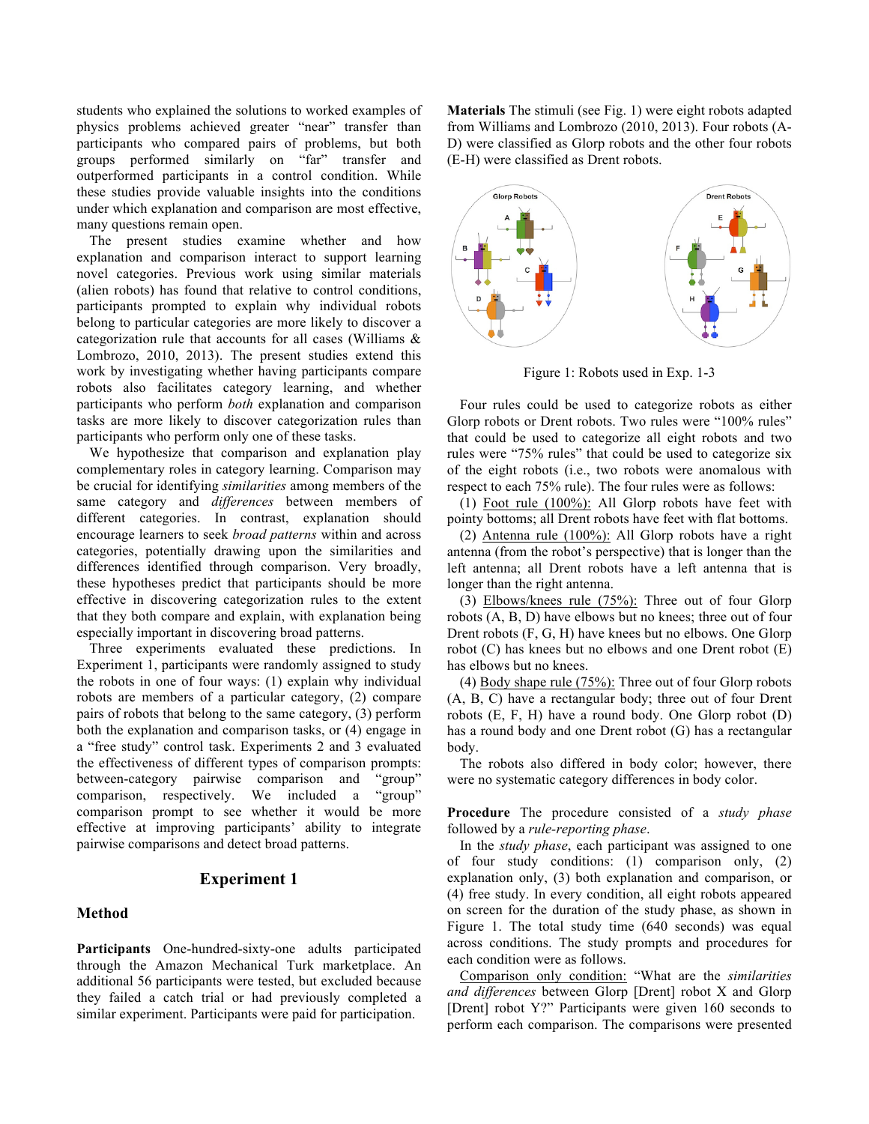students who explained the solutions to worked examples of physics problems achieved greater "near" transfer than participants who compared pairs of problems, but both groups performed similarly on "far" transfer and outperformed participants in a control condition. While these studies provide valuable insights into the conditions under which explanation and comparison are most effective, many questions remain open.

The present studies examine whether and how explanation and comparison interact to support learning novel categories. Previous work using similar materials (alien robots) has found that relative to control conditions, participants prompted to explain why individual robots belong to particular categories are more likely to discover a categorization rule that accounts for all cases (Williams & Lombrozo, 2010, 2013). The present studies extend this work by investigating whether having participants compare robots also facilitates category learning, and whether participants who perform *both* explanation and comparison tasks are more likely to discover categorization rules than participants who perform only one of these tasks.

We hypothesize that comparison and explanation play complementary roles in category learning. Comparison may be crucial for identifying *similarities* among members of the same category and *differences* between members of different categories. In contrast, explanation should encourage learners to seek *broad patterns* within and across categories, potentially drawing upon the similarities and differences identified through comparison. Very broadly, these hypotheses predict that participants should be more effective in discovering categorization rules to the extent that they both compare and explain, with explanation being especially important in discovering broad patterns.

Three experiments evaluated these predictions. In Experiment 1, participants were randomly assigned to study the robots in one of four ways: (1) explain why individual robots are members of a particular category, (2) compare pairs of robots that belong to the same category, (3) perform both the explanation and comparison tasks, or (4) engage in a "free study" control task. Experiments 2 and 3 evaluated the effectiveness of different types of comparison prompts: between-category pairwise comparison and "group" comparison, respectively. We included a "group" comparison prompt to see whether it would be more effective at improving participants' ability to integrate pairwise comparisons and detect broad patterns.

## **Experiment 1**

## **Method**

**Participants** One-hundred-sixty-one adults participated through the Amazon Mechanical Turk marketplace. An additional 56 participants were tested, but excluded because they failed a catch trial or had previously completed a similar experiment. Participants were paid for participation.

**Materials** The stimuli (see Fig. 1) were eight robots adapted from Williams and Lombrozo (2010, 2013). Four robots (A-D) were classified as Glorp robots and the other four robots (E-H) were classified as Drent robots.



Figure 1: Robots used in Exp. 1-3

Four rules could be used to categorize robots as either Glorp robots or Drent robots. Two rules were "100% rules" that could be used to categorize all eight robots and two rules were "75% rules" that could be used to categorize six of the eight robots (i.e., two robots were anomalous with respect to each 75% rule). The four rules were as follows:

(1) Foot rule (100%): All Glorp robots have feet with pointy bottoms; all Drent robots have feet with flat bottoms.

(2) Antenna rule (100%): All Glorp robots have a right antenna (from the robot's perspective) that is longer than the left antenna; all Drent robots have a left antenna that is longer than the right antenna.

(3) Elbows/knees rule (75%): Three out of four Glorp robots (A, B, D) have elbows but no knees; three out of four Drent robots (F, G, H) have knees but no elbows. One Glorp robot (C) has knees but no elbows and one Drent robot (E) has elbows but no knees.

(4) Body shape rule (75%): Three out of four Glorp robots (A, B, C) have a rectangular body; three out of four Drent robots (E, F, H) have a round body. One Glorp robot (D) has a round body and one Drent robot (G) has a rectangular body.

The robots also differed in body color; however, there were no systematic category differences in body color.

**Procedure** The procedure consisted of a *study phase* followed by a *rule-reporting phase*.

In the *study phase*, each participant was assigned to one of four study conditions: (1) comparison only, (2) explanation only, (3) both explanation and comparison, or (4) free study. In every condition, all eight robots appeared on screen for the duration of the study phase, as shown in Figure 1. The total study time (640 seconds) was equal across conditions. The study prompts and procedures for each condition were as follows.

Comparison only condition: "What are the *similarities and differences* between Glorp [Drent] robot X and Glorp [Drent] robot Y?" Participants were given 160 seconds to perform each comparison. The comparisons were presented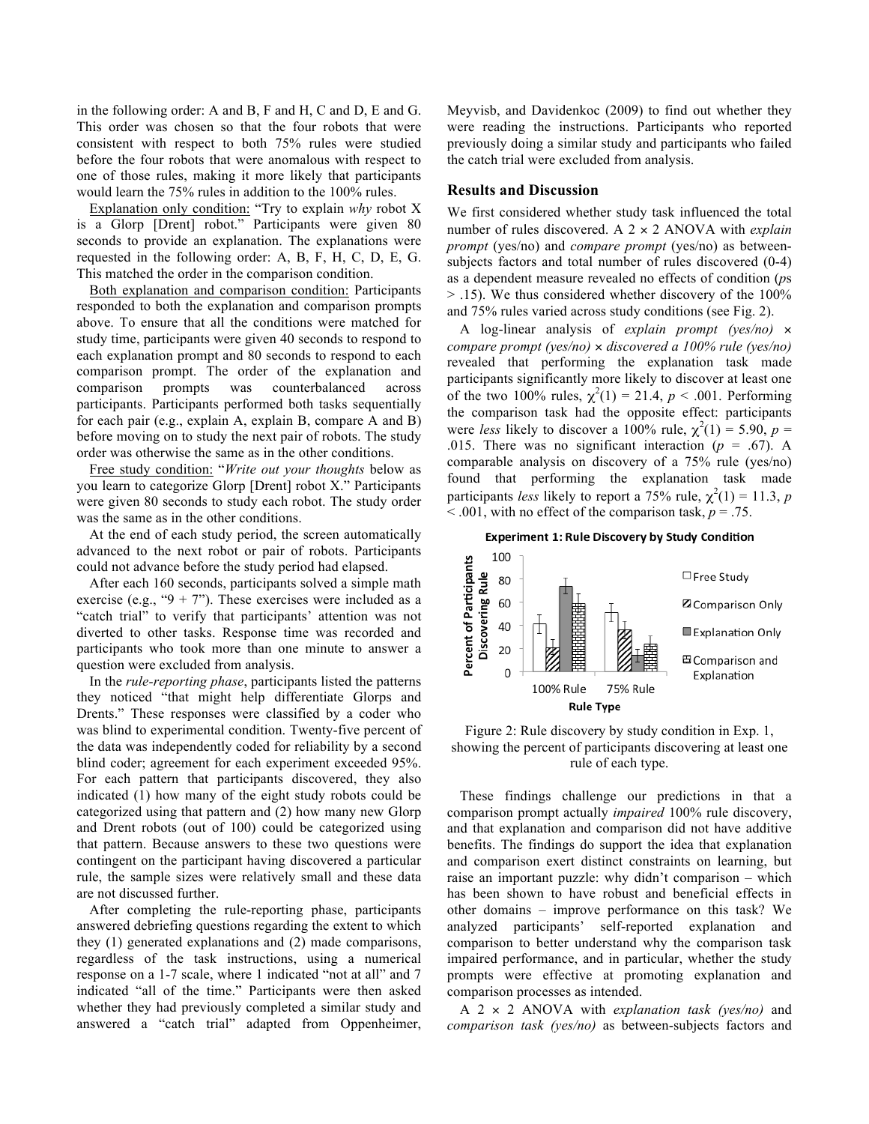in the following order: A and B, F and H, C and D, E and G. This order was chosen so that the four robots that were consistent with respect to both 75% rules were studied before the four robots that were anomalous with respect to one of those rules, making it more likely that participants would learn the 75% rules in addition to the 100% rules.

Explanation only condition: "Try to explain *why* robot X is a Glorp [Drent] robot." Participants were given 80 seconds to provide an explanation. The explanations were requested in the following order: A, B, F, H, C, D, E, G. This matched the order in the comparison condition.

Both explanation and comparison condition: Participants responded to both the explanation and comparison prompts above. To ensure that all the conditions were matched for study time, participants were given 40 seconds to respond to each explanation prompt and 80 seconds to respond to each comparison prompt. The order of the explanation and comparison prompts was counterbalanced across participants. Participants performed both tasks sequentially for each pair (e.g., explain A, explain B, compare A and B) before moving on to study the next pair of robots. The study order was otherwise the same as in the other conditions.

Free study condition: "*Write out your thoughts* below as you learn to categorize Glorp [Drent] robot X." Participants were given 80 seconds to study each robot. The study order was the same as in the other conditions.

At the end of each study period, the screen automatically advanced to the next robot or pair of robots. Participants could not advance before the study period had elapsed.

After each 160 seconds, participants solved a simple math exercise (e.g., " $9 + 7$ "). These exercises were included as a "catch trial" to verify that participants' attention was not diverted to other tasks. Response time was recorded and participants who took more than one minute to answer a question were excluded from analysis.

In the *rule-reporting phase*, participants listed the patterns they noticed "that might help differentiate Glorps and Drents." These responses were classified by a coder who was blind to experimental condition. Twenty-five percent of the data was independently coded for reliability by a second blind coder; agreement for each experiment exceeded 95%. For each pattern that participants discovered, they also indicated (1) how many of the eight study robots could be categorized using that pattern and (2) how many new Glorp and Drent robots (out of 100) could be categorized using that pattern. Because answers to these two questions were contingent on the participant having discovered a particular rule, the sample sizes were relatively small and these data are not discussed further.

After completing the rule-reporting phase, participants answered debriefing questions regarding the extent to which they (1) generated explanations and (2) made comparisons, regardless of the task instructions, using a numerical response on a 1-7 scale, where 1 indicated "not at all" and 7 indicated "all of the time." Participants were then asked whether they had previously completed a similar study and answered a "catch trial" adapted from Oppenheimer, Meyvisb, and Davidenkoc (2009) to find out whether they were reading the instructions. Participants who reported previously doing a similar study and participants who failed the catch trial were excluded from analysis.

#### **Results and Discussion**

We first considered whether study task influenced the total number of rules discovered. A 2 × 2 ANOVA with *explain prompt* (yes/no) and *compare prompt* (yes/no) as betweensubjects factors and total number of rules discovered (0-4) as a dependent measure revealed no effects of condition (*p*s > .15). We thus considered whether discovery of the 100% and 75% rules varied across study conditions (see Fig. 2).

A log-linear analysis of *explain prompt (yes/no)* × *compare prompt (yes/no)* × *discovered a 100% rule (yes/no)* revealed that performing the explanation task made participants significantly more likely to discover at least one of the two 100% rules,  $\chi^2(1) = 21.4$ ,  $p < .001$ . Performing the comparison task had the opposite effect: participants were *less* likely to discover a 100% rule,  $\chi^2(1) = 5.90$ ,  $p =$ .015. There was no significant interaction  $(p = .67)$ . A comparable analysis on discovery of a 75% rule (yes/no) found that performing the explanation task made participants *less* likely to report a 75% rule,  $\chi^2(1) = 11.3$ , *p*  $\leq$  001, with no effect of the comparison task,  $p = 0.75$ .







These findings challenge our predictions in that a comparison prompt actually *impaired* 100% rule discovery, and that explanation and comparison did not have additive benefits. The findings do support the idea that explanation and comparison exert distinct constraints on learning, but raise an important puzzle: why didn't comparison – which has been shown to have robust and beneficial effects in other domains – improve performance on this task? We analyzed participants' self-reported explanation and comparison to better understand why the comparison task impaired performance, and in particular, whether the study prompts were effective at promoting explanation and comparison processes as intended.

A 2 × 2 ANOVA with *explanation task (yes/no)* and *comparison task (yes/no)* as between-subjects factors and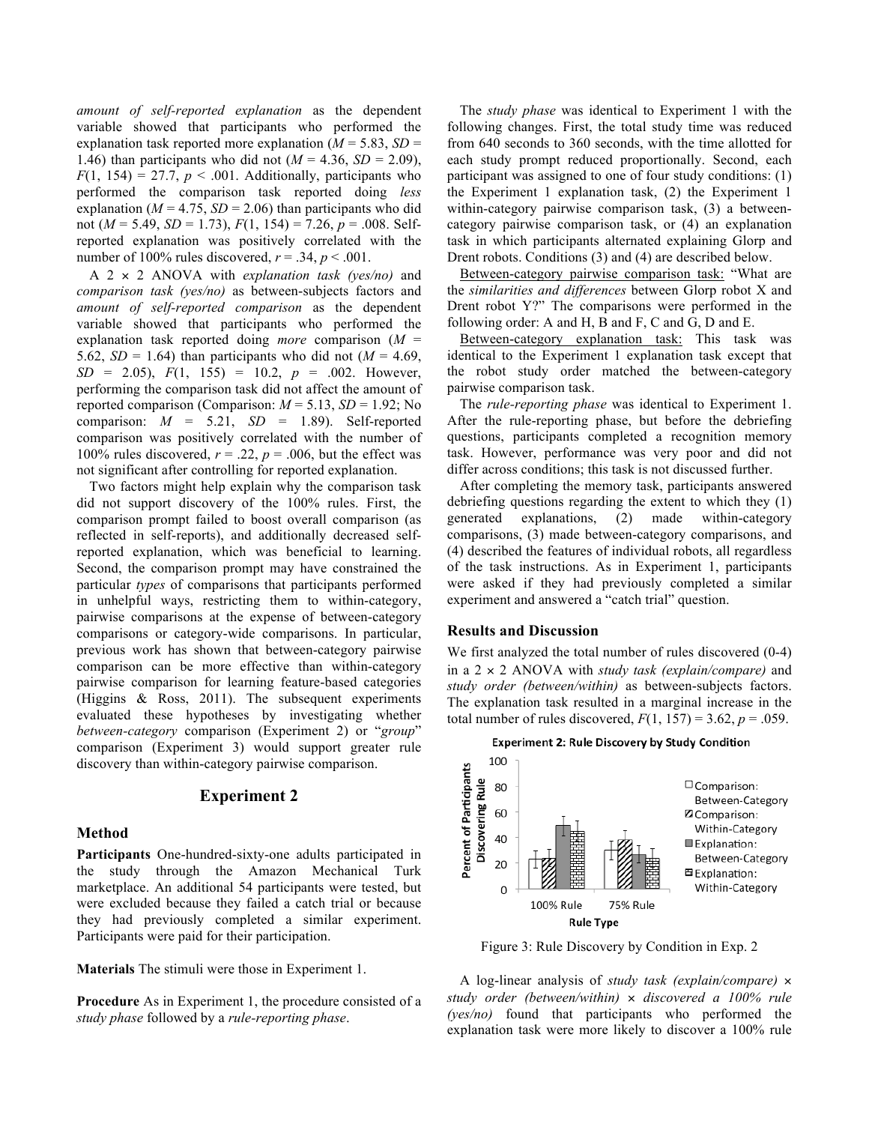*amount of self-reported explanation* as the dependent variable showed that participants who performed the explanation task reported more explanation  $(M = 5.83, SD =$ 1.46) than participants who did not  $(M = 4.36, SD = 2.09)$ ,  $F(1, 154) = 27.7$ ,  $p < .001$ . Additionally, participants who performed the comparison task reported doing *less* explanation ( $M = 4.75$ ,  $SD = 2.06$ ) than participants who did not (*M* = 5.49, *SD* = 1.73), *F*(1, 154) = 7.26, *p* = .008. Selfreported explanation was positively correlated with the number of 100% rules discovered,  $r = .34$ ,  $p < .001$ .

A 2 × 2 ANOVA with *explanation task (yes/no)* and *comparison task (yes/no)* as between-subjects factors and *amount of self-reported comparison* as the dependent variable showed that participants who performed the explanation task reported doing *more* comparison (*M* = 5.62,  $SD = 1.64$ ) than participants who did not ( $M = 4.69$ ,  $SD = 2.05$ ,  $F(1, 155) = 10.2$ ,  $p = .002$ . However, performing the comparison task did not affect the amount of reported comparison (Comparison:  $M = 5.13$ ,  $SD = 1.92$ ; No comparison:  $M = 5.21$ ,  $SD = 1.89$ . Self-reported comparison was positively correlated with the number of 100% rules discovered,  $r = .22$ ,  $p = .006$ , but the effect was not significant after controlling for reported explanation.

Two factors might help explain why the comparison task did not support discovery of the 100% rules. First, the comparison prompt failed to boost overall comparison (as reflected in self-reports), and additionally decreased selfreported explanation, which was beneficial to learning. Second, the comparison prompt may have constrained the particular *types* of comparisons that participants performed in unhelpful ways, restricting them to within-category, pairwise comparisons at the expense of between-category comparisons or category-wide comparisons. In particular, previous work has shown that between-category pairwise comparison can be more effective than within-category pairwise comparison for learning feature-based categories (Higgins & Ross, 2011). The subsequent experiments evaluated these hypotheses by investigating whether *between-category* comparison (Experiment 2) or "*group*" comparison (Experiment 3) would support greater rule discovery than within-category pairwise comparison.

## **Experiment 2**

#### **Method**

**Participants** One-hundred-sixty-one adults participated in the study through the Amazon Mechanical Turk marketplace. An additional 54 participants were tested, but were excluded because they failed a catch trial or because they had previously completed a similar experiment. Participants were paid for their participation.

**Materials** The stimuli were those in Experiment 1.

**Procedure** As in Experiment 1, the procedure consisted of a *study phase* followed by a *rule-reporting phase*.

The *study phase* was identical to Experiment 1 with the following changes. First, the total study time was reduced from 640 seconds to 360 seconds, with the time allotted for each study prompt reduced proportionally. Second, each participant was assigned to one of four study conditions: (1) the Experiment 1 explanation task, (2) the Experiment 1 within-category pairwise comparison task, (3) a betweencategory pairwise comparison task, or (4) an explanation task in which participants alternated explaining Glorp and Drent robots. Conditions (3) and (4) are described below.

Between-category pairwise comparison task: "What are the *similarities and differences* between Glorp robot X and Drent robot Y?" The comparisons were performed in the following order: A and H, B and F, C and G, D and E.

Between-category explanation task: This task was identical to the Experiment 1 explanation task except that the robot study order matched the between-category pairwise comparison task.

The *rule-reporting phase* was identical to Experiment 1. After the rule-reporting phase, but before the debriefing questions, participants completed a recognition memory task. However, performance was very poor and did not differ across conditions; this task is not discussed further.

After completing the memory task, participants answered debriefing questions regarding the extent to which they (1) generated explanations, (2) made within-category comparisons, (3) made between-category comparisons, and (4) described the features of individual robots, all regardless of the task instructions. As in Experiment 1, participants were asked if they had previously completed a similar experiment and answered a "catch trial" question.

## **Results and Discussion**

We first analyzed the total number of rules discovered  $(0-4)$ in a 2 × 2 ANOVA with *study task (explain/compare)* and *study order (between/within)* as between-subjects factors. The explanation task resulted in a marginal increase in the total number of rules discovered,  $F(1, 157) = 3.62$ ,  $p = .059$ .





Figure 3: Rule Discovery by Condition in Exp. 2

A log-linear analysis of *study task (explain/compare)* × *study order (between/within)* × *discovered a 100% rule (yes/no)* found that participants who performed the explanation task were more likely to discover a 100% rule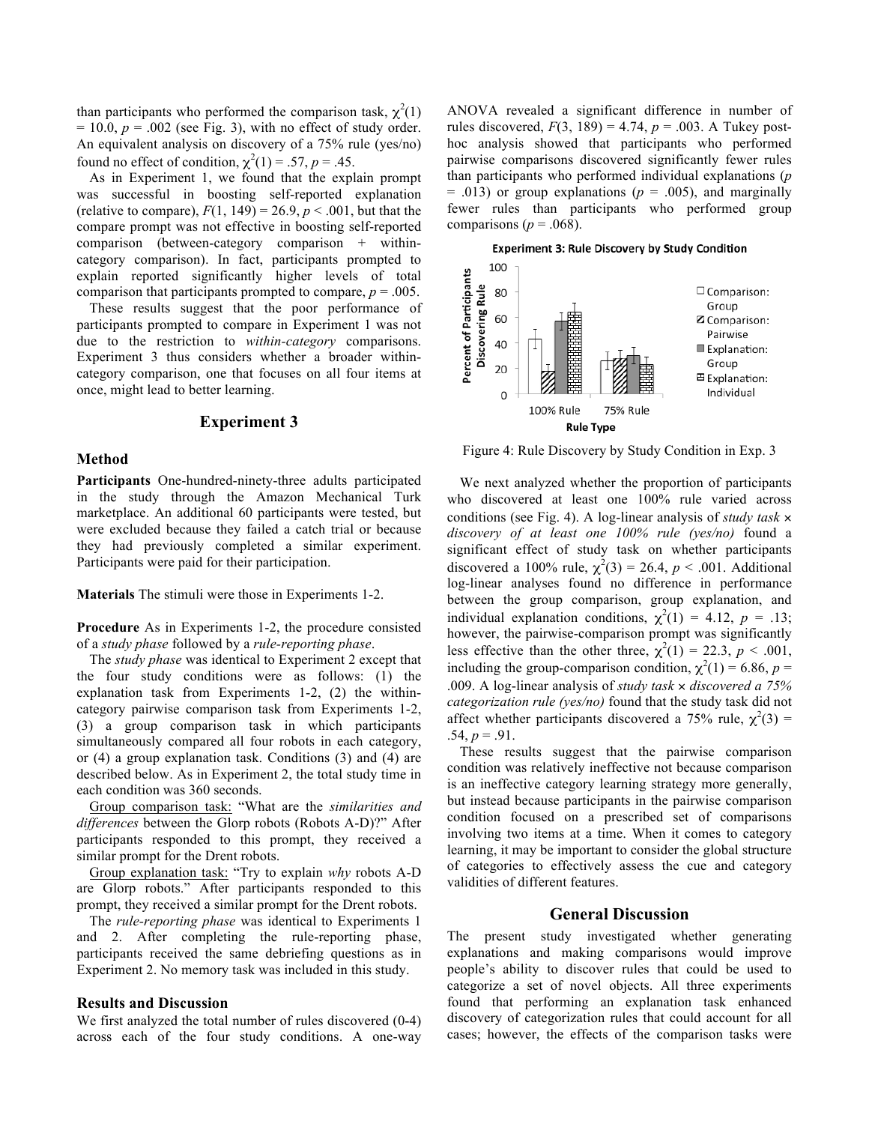than participants who performed the comparison task,  $\chi^2(1)$  $= 10.0$ ,  $p = .002$  (see Fig. 3), with no effect of study order. An equivalent analysis on discovery of a 75% rule (yes/no) found no effect of condition,  $\chi^2(1) = .57$ ,  $p = .45$ .

As in Experiment 1, we found that the explain prompt was successful in boosting self-reported explanation (relative to compare),  $F(1, 149) = 26.9, p < .001$ , but that the compare prompt was not effective in boosting self-reported comparison (between-category comparison + withincategory comparison). In fact, participants prompted to explain reported significantly higher levels of total comparison that participants prompted to compare,  $p = .005$ .

These results suggest that the poor performance of participants prompted to compare in Experiment 1 was not due to the restriction to *within-category* comparisons. Experiment 3 thus considers whether a broader withincategory comparison, one that focuses on all four items at once, might lead to better learning.

#### **Experiment 3**

#### **Method**

**Participants** One-hundred-ninety-three adults participated in the study through the Amazon Mechanical Turk marketplace. An additional 60 participants were tested, but were excluded because they failed a catch trial or because they had previously completed a similar experiment. Participants were paid for their participation.

**Materials** The stimuli were those in Experiments 1-2.

**Procedure** As in Experiments 1-2, the procedure consisted of a *study phase* followed by a *rule-reporting phase*.

The *study phase* was identical to Experiment 2 except that the four study conditions were as follows: (1) the explanation task from Experiments 1-2, (2) the withincategory pairwise comparison task from Experiments 1-2, (3) a group comparison task in which participants simultaneously compared all four robots in each category, or (4) a group explanation task. Conditions (3) and (4) are described below. As in Experiment 2, the total study time in each condition was 360 seconds.

Group comparison task: "What are the *similarities and differences* between the Glorp robots (Robots A-D)?" After participants responded to this prompt, they received a similar prompt for the Drent robots.

Group explanation task: "Try to explain *why* robots A-D are Glorp robots." After participants responded to this prompt, they received a similar prompt for the Drent robots.

The *rule-reporting phase* was identical to Experiments 1 and 2. After completing the rule-reporting phase, participants received the same debriefing questions as in Experiment 2. No memory task was included in this study.

#### **Results and Discussion**

We first analyzed the total number of rules discovered (0-4) across each of the four study conditions. A one-way ANOVA revealed a significant difference in number of rules discovered,  $F(3, 189) = 4.74$ ,  $p = .003$ . A Tukey posthoc analysis showed that participants who performed pairwise comparisons discovered significantly fewer rules than participants who performed individual explanations (*p*  $= .013$ ) or group explanations ( $p = .005$ ), and marginally fewer rules than participants who performed group comparisons ( $p = .068$ ).



Figure 4: Rule Discovery by Study Condition in Exp. 3

We next analyzed whether the proportion of participants who discovered at least one 100% rule varied across conditions (see Fig. 4). A log-linear analysis of *study task* × *discovery of at least one 100% rule (yes/no)* found a significant effect of study task on whether participants discovered a 100% rule,  $\chi^2(3) = 26.4$ ,  $p < .001$ . Additional log-linear analyses found no difference in performance between the group comparison, group explanation, and individual explanation conditions,  $\chi^2(1) = 4.12$ ,  $p = .13$ ; however, the pairwise-comparison prompt was significantly less effective than the other three,  $\chi^2(1) = 22.3$ ,  $p < .001$ , including the group-comparison condition,  $\chi^2(1) = 6.86$ ,  $p =$ .009. A log-linear analysis of *study task* × *discovered a 75% categorization rule (yes/no)* found that the study task did not affect whether participants discovered a 75% rule,  $\chi^2(3)$  =  $.54, p = .91.$ 

These results suggest that the pairwise comparison condition was relatively ineffective not because comparison is an ineffective category learning strategy more generally, but instead because participants in the pairwise comparison condition focused on a prescribed set of comparisons involving two items at a time. When it comes to category learning, it may be important to consider the global structure of categories to effectively assess the cue and category validities of different features.

## **General Discussion**

The present study investigated whether generating explanations and making comparisons would improve people's ability to discover rules that could be used to categorize a set of novel objects. All three experiments found that performing an explanation task enhanced discovery of categorization rules that could account for all cases; however, the effects of the comparison tasks were